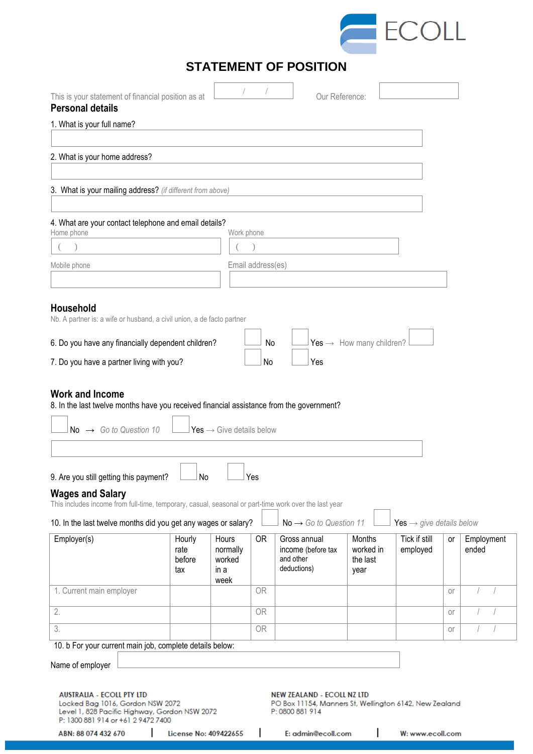

| This is your statement of financial position as at<br><b>Personal details</b>                                                                                                      |                                 |                                             |                   |                                                                                                                                      | Our Reference:                          |                                      |           |                     |  |
|------------------------------------------------------------------------------------------------------------------------------------------------------------------------------------|---------------------------------|---------------------------------------------|-------------------|--------------------------------------------------------------------------------------------------------------------------------------|-----------------------------------------|--------------------------------------|-----------|---------------------|--|
| 1. What is your full name?                                                                                                                                                         |                                 |                                             |                   |                                                                                                                                      |                                         |                                      |           |                     |  |
| 2. What is your home address?                                                                                                                                                      |                                 |                                             |                   |                                                                                                                                      |                                         |                                      |           |                     |  |
|                                                                                                                                                                                    |                                 |                                             |                   |                                                                                                                                      |                                         |                                      |           |                     |  |
| 3. What is your mailing address? (if different from above)                                                                                                                         |                                 |                                             |                   |                                                                                                                                      |                                         |                                      |           |                     |  |
| 4. What are your contact telephone and email details?<br>Home phone                                                                                                                |                                 | Work phone                                  |                   |                                                                                                                                      |                                         |                                      |           |                     |  |
|                                                                                                                                                                                    |                                 |                                             |                   |                                                                                                                                      |                                         |                                      |           |                     |  |
| Mobile phone                                                                                                                                                                       |                                 |                                             | Email address(es) |                                                                                                                                      |                                         |                                      |           |                     |  |
| <b>Household</b><br>Nb. A partner is: a wife or husband, a civil union, a de facto partner                                                                                         |                                 |                                             |                   |                                                                                                                                      |                                         |                                      |           |                     |  |
| 6. Do you have any financially dependent children?                                                                                                                                 |                                 |                                             | No                |                                                                                                                                      | Yes $\rightarrow$ How many children?    |                                      |           |                     |  |
| 7. Do you have a partner living with you?                                                                                                                                          |                                 |                                             | No                | Yes                                                                                                                                  |                                         |                                      |           |                     |  |
| $No \rightarrow Go$ to Question 10<br>9. Are you still getting this payment?<br><b>Wages and Salary</b>                                                                            | $\sqcup$ No                     | Yes $\rightarrow$ Give details below        | ⊥ Yes             |                                                                                                                                      |                                         |                                      |           |                     |  |
| This includes income from full-time, temporary, casual, seasonal or part-time work over the last year<br>10. In the last twelve months did you get any wages or salary?            |                                 |                                             |                   | $No \rightarrow Go$ to Question 11                                                                                                   |                                         | Yes $\rightarrow$ give details below |           |                     |  |
| Employer(s)                                                                                                                                                                        | Hourly<br>rate<br>before<br>tax | Hours<br>normally<br>worked<br>in a<br>week | 0R                | Gross annual<br>income (before tax<br>and other<br>deductions)                                                                       | Months<br>worked in<br>the last<br>year | Tick if still<br>employed            | or        | Employment<br>ended |  |
| 1. Current main employer                                                                                                                                                           |                                 |                                             | 0 <sub>R</sub>    |                                                                                                                                      |                                         |                                      | or        |                     |  |
| 2.                                                                                                                                                                                 |                                 |                                             | 0R                |                                                                                                                                      |                                         |                                      | <b>or</b> |                     |  |
| $\overline{3}$ .                                                                                                                                                                   |                                 |                                             | <b>OR</b>         |                                                                                                                                      |                                         |                                      | or        |                     |  |
| 10. b For your current main job, complete details below:                                                                                                                           |                                 |                                             |                   |                                                                                                                                      |                                         |                                      |           |                     |  |
| Name of employer                                                                                                                                                                   |                                 |                                             |                   |                                                                                                                                      |                                         |                                      |           |                     |  |
| <b>AUSTRALIA - ECOLL PTY LTD</b><br>Locked Bag 1016, Gordon NSW 2072<br>Level 1, 828 Pacific Highway, Gordon NSW 2072<br>P: 1300 881 914 or +61 2 9472 7400<br>ABN: 88 074 432 670 | License No: 409422655           |                                             |                   | <b>NEW ZEALAND - ECOLL NZ LTD</b><br>PO Box 11154, Manners St, Wellington 6142, New Zealand<br>P: 0800 881 914<br>E: admin@ecoll.com |                                         | W: www.ecoll.com                     |           |                     |  |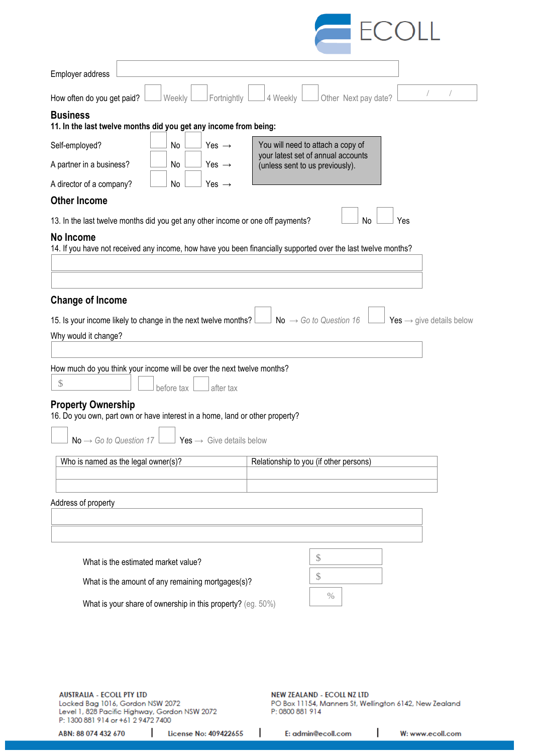

| Employer address                                                                                                                                                                                     |            |                                      |                                                                       |                                    |           |     |                                      |
|------------------------------------------------------------------------------------------------------------------------------------------------------------------------------------------------------|------------|--------------------------------------|-----------------------------------------------------------------------|------------------------------------|-----------|-----|--------------------------------------|
| How often do you get paid?                                                                                                                                                                           | Weekly     | Fortnightly                          | 4 Weekly                                                              | Other Next pay date?               |           |     |                                      |
| <b>Business</b><br>11. In the last twelve months did you get any income from being:                                                                                                                  |            |                                      |                                                                       |                                    |           |     |                                      |
| Self-employed?                                                                                                                                                                                       | No         | Yes $\rightarrow$                    | You will need to attach a copy of                                     |                                    |           |     |                                      |
| A partner in a business?                                                                                                                                                                             | No         | Yes $\rightarrow$                    | your latest set of annual accounts<br>(unless sent to us previously). |                                    |           |     |                                      |
| A director of a company?                                                                                                                                                                             | No         | Yes $\rightarrow$                    |                                                                       |                                    |           |     |                                      |
| <b>Other Income</b>                                                                                                                                                                                  |            |                                      |                                                                       |                                    |           |     |                                      |
| 13. In the last twelve months did you get any other income or one off payments?                                                                                                                      |            |                                      |                                                                       |                                    | <b>No</b> | Yes |                                      |
| No Income<br>14. If you have not received any income, how have you been financially supported over the last twelve months?                                                                           |            |                                      |                                                                       |                                    |           |     |                                      |
| <b>Change of Income</b>                                                                                                                                                                              |            |                                      |                                                                       |                                    |           |     |                                      |
| 15. Is your income likely to change in the next twelve months?                                                                                                                                       |            |                                      |                                                                       | No $\rightarrow$ Go to Question 16 |           |     | Yes $\rightarrow$ give details below |
| Why would it change?                                                                                                                                                                                 |            |                                      |                                                                       |                                    |           |     |                                      |
| How much do you think your income will be over the next twelve months?<br>$\mathcal{S}$<br><b>Property Ownership</b><br>16. Do you own, part own or have interest in a home, land or other property? | before tax | after tax                            |                                                                       |                                    |           |     |                                      |
| $No \rightarrow Go$ to Question 17                                                                                                                                                                   |            | Yes $\rightarrow$ Give details below |                                                                       |                                    |           |     |                                      |
| Who is named as the legal owner(s)?                                                                                                                                                                  |            |                                      | Relationship to you (if other persons)                                |                                    |           |     |                                      |
|                                                                                                                                                                                                      |            |                                      |                                                                       |                                    |           |     |                                      |
| Address of property                                                                                                                                                                                  |            |                                      |                                                                       |                                    |           |     |                                      |
|                                                                                                                                                                                                      |            |                                      |                                                                       |                                    |           |     |                                      |
| What is the estimated market value?                                                                                                                                                                  |            |                                      |                                                                       | \$                                 |           |     |                                      |
| What is the amount of any remaining mortgages(s)?                                                                                                                                                    |            |                                      |                                                                       | \$                                 |           |     |                                      |
| What is your share of ownership in this property? (eg. 50%)                                                                                                                                          |            |                                      |                                                                       | $\%$                               |           |     |                                      |
|                                                                                                                                                                                                      |            |                                      |                                                                       |                                    |           |     |                                      |

**AUSTRALIA - ECOLL PTY LTD** Locked Bag 1016, Gordon NSW 2072<br>Level 1, 828 Pacific Highway, Gordon NSW 2072<br>P: 1300 881 914 or +61 2 9472 7400 **NEW ZEALAND - ECOLL NZ LTD** PO Box 11154, Manners St, Wellington 6142, New Zealand P: 0800 881 914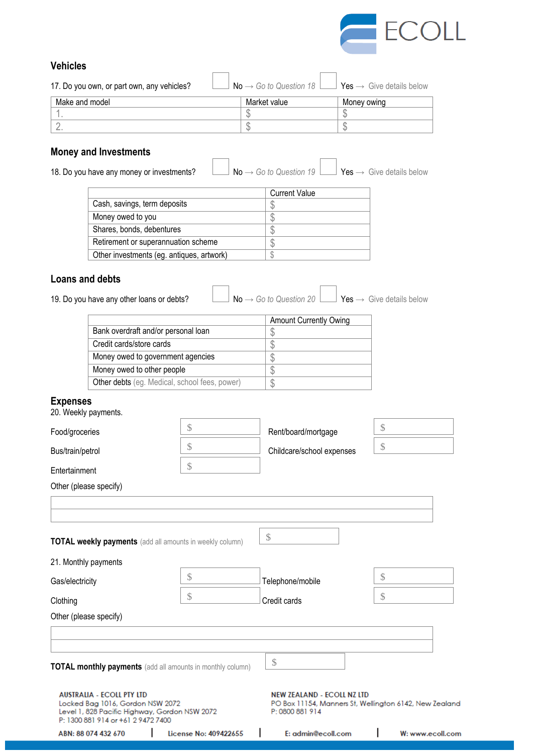

# **Vehicles**

| 17. Do you own, or part own, any vehicles? | $\mathsf{No} \rightarrow \mathsf{Go}$ to Question 18 L | $\Box$ Yes $\rightarrow$ Give details below |
|--------------------------------------------|--------------------------------------------------------|---------------------------------------------|
| Make and model                             | Market value                                           | Money owing                                 |
|                                            |                                                        |                                             |
|                                            |                                                        |                                             |

 $\overline{\phantom{0}}$ 

 $\Gamma$ 

# **Money and Investments**

18. Do you have any money or investments?  $\Box$  No → *Go to Question 19*  $\Box$  Yes → Give details below

 $\overline{\Gamma}$ 

|                                           | <b>Current Value</b> |
|-------------------------------------------|----------------------|
| Cash, savings, term deposits              | S                    |
| Money owed to you                         |                      |
| Shares, bonds, debentures                 |                      |
| Retirement or superannuation scheme       |                      |
| Other investments (eg. antiques, artwork) |                      |

## **Loans and debts**

19. Do you have any other loans or debts? No → *Go to Question 20* Yes → Give details below

|                                               | <b>Amount Currently Owing</b> |
|-----------------------------------------------|-------------------------------|
| Bank overdraft and/or personal loan           |                               |
| Credit cards/store cards                      |                               |
| Money owed to government agencies             |                               |
| Money owed to other people                    |                               |
| Other debts (eg. Medical, school fees, power) | S                             |
|                                               |                               |

### **Expenses**

| ABN: 88 074 432 670                                                                                                                                         | License No: 409422655 | E: admin@ecoll.com                                                                                             | W: www.ecoll.com |
|-------------------------------------------------------------------------------------------------------------------------------------------------------------|-----------------------|----------------------------------------------------------------------------------------------------------------|------------------|
| <b>AUSTRALIA - ECOLL PTY LTD</b><br>Locked Bag 1016, Gordon NSW 2072<br>Level 1, 828 Pacific Highway, Gordon NSW 2072<br>P: 1300 881 914 or +61 2 9472 7400 |                       | <b>NEW ZEALAND - ECOLL NZ LTD</b><br>PO Box 11154, Manners St, Wellington 6142, New Zealand<br>P: 0800 881 914 |                  |
| <b>TOTAL monthly payments</b> (add all amounts in monthly column)                                                                                           |                       | $\$\$                                                                                                          |                  |
|                                                                                                                                                             |                       |                                                                                                                |                  |
| Other (please specify)                                                                                                                                      |                       |                                                                                                                |                  |
| Clothing                                                                                                                                                    | $\mathcal{S}$         | Credit cards                                                                                                   | $\mathcal{S}$    |
| Gas/electricity                                                                                                                                             | $\mathcal{S}$         | Telephone/mobile                                                                                               | $\mathcal{S}$    |
| 21. Monthly payments                                                                                                                                        |                       |                                                                                                                |                  |
| <b>TOTAL weekly payments</b> (add all amounts in weekly column)                                                                                             |                       | $\mathcal{L}$                                                                                                  |                  |
|                                                                                                                                                             |                       |                                                                                                                |                  |
| Other (please specify)                                                                                                                                      |                       |                                                                                                                |                  |
| Entertainment                                                                                                                                               | $\mathcal{S}$         |                                                                                                                |                  |
| Bus/train/petrol                                                                                                                                            | $\mathcal{S}$         | Childcare/school expenses                                                                                      | $\mathcal{S}$    |
| Food/groceries                                                                                                                                              |                       | Rent/board/mortgage                                                                                            |                  |
| 20. Weekly payments.                                                                                                                                        | $\mathcal{S}$         |                                                                                                                | $\mathcal{S}$    |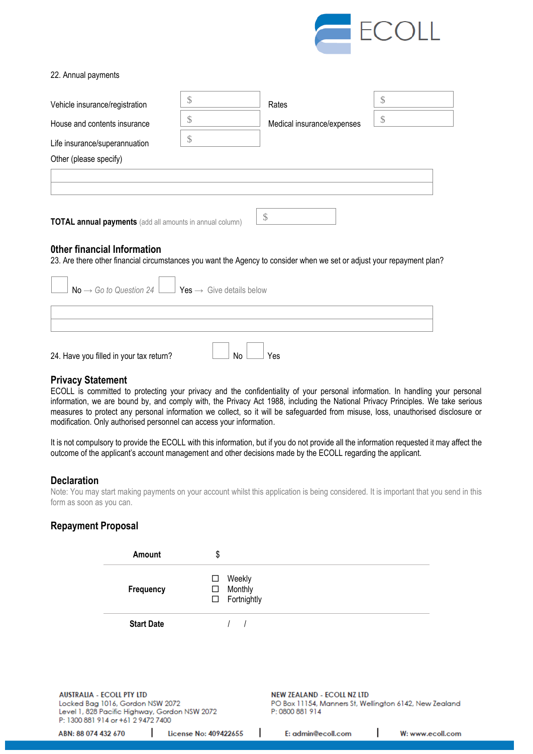

#### 22. Annual payments

| Vehicle insurance/registration                                                                                                                        | Rates                            | S  |
|-------------------------------------------------------------------------------------------------------------------------------------------------------|----------------------------------|----|
| House and contents insurance                                                                                                                          | \$<br>Medical insurance/expenses | \$ |
| Life insurance/superannuation                                                                                                                         | \$                               |    |
| Other (please specify)                                                                                                                                |                                  |    |
|                                                                                                                                                       |                                  |    |
|                                                                                                                                                       |                                  |    |
| <b>TOTAL annual payments</b> (add all amounts in annual column)                                                                                       | $\mathcal{S}$                    |    |
| Other financial Information<br>23. Are there other financial circumstances you want the Agency to consider when we set or adjust your repayment plan? |                                  |    |
|                                                                                                                                                       |                                  |    |

| $\Box$ No $\rightarrow$ Go to Question 24 $\Box$ Yes $\rightarrow$ Give details below |           |  |
|---------------------------------------------------------------------------------------|-----------|--|
|                                                                                       |           |  |
|                                                                                       |           |  |
| 24. Have you filled in your tax return?                                               | Yes<br>No |  |

## **Privacy Statement**

ECOLL is committed to protecting your privacy and the confidentiality of your personal information. In handling your personal information, we are bound by, and comply with, the Privacy Act 1988, including the National Privacy Principles. We take serious measures to protect any personal information we collect, so it will be safeguarded from misuse, loss, unauthorised disclosure or modification. Only authorised personnel can access your information.

It is not compulsory to provide the ECOLL with this information, but if you do not provide all the information requested it may affect the outcome of the applicant's account management and other decisions made by the ECOLL regarding the applicant.

#### **Declaration**

Note: You may start making payments on your account whilst this application is being considered. It is important that you send in this form as soon as you can.

## **Repayment Proposal**

|                     | Amount                                                                                                     | \$                                            |                                  |                                                                                                                |                  |
|---------------------|------------------------------------------------------------------------------------------------------------|-----------------------------------------------|----------------------------------|----------------------------------------------------------------------------------------------------------------|------------------|
|                     | Frequency                                                                                                  | □<br>ப<br>□                                   | Weekly<br>Monthly<br>Fortnightly |                                                                                                                |                  |
|                     | <b>Start Date</b>                                                                                          |                                               |                                  |                                                                                                                |                  |
|                     |                                                                                                            |                                               |                                  |                                                                                                                |                  |
|                     | <b>AUSTRALIA - ECOLL PTY LTD</b><br>Locked Bag 1016, Gordon NSW 2072<br>P: 1300 881 914 or +61 2 9472 7400 | Level 1, 828 Pacific Highway, Gordon NSW 2072 |                                  | <b>NEW ZEALAND - ECOLL NZ LTD</b><br>PO Box 11154, Manners St, Wellington 6142, New Zealand<br>P: 0800 881 914 |                  |
| ABN: 88 074 432 670 |                                                                                                            | License No: 409422655                         |                                  | E: admin@ecoll.com                                                                                             | W: www.ecoll.com |